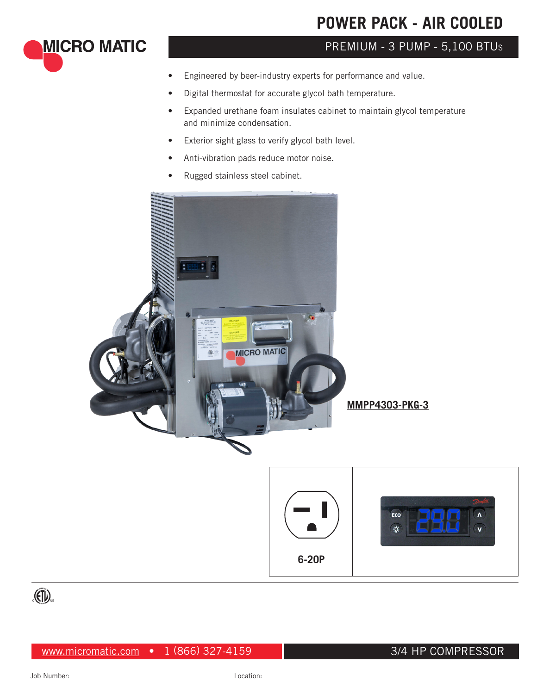# **POWER PACK - AIR COOLED**

## PREMIUM - 3 PUMP - 5,100 BTU<sup>s</sup>

- Engineered by beer-industry experts for performance and value.
- Digital thermostat for accurate glycol bath temperature.
- Expanded urethane foam insulates cabinet to maintain glycol temperature and minimize condensation.
- Exterior sight glass to verify glycol bath level.
- Anti-vibration pads reduce motor noise.
- Rugged stainless steel cabinet.









**MICRO MATIC** 

www.micromatic.com • 1 (866) 327-4159